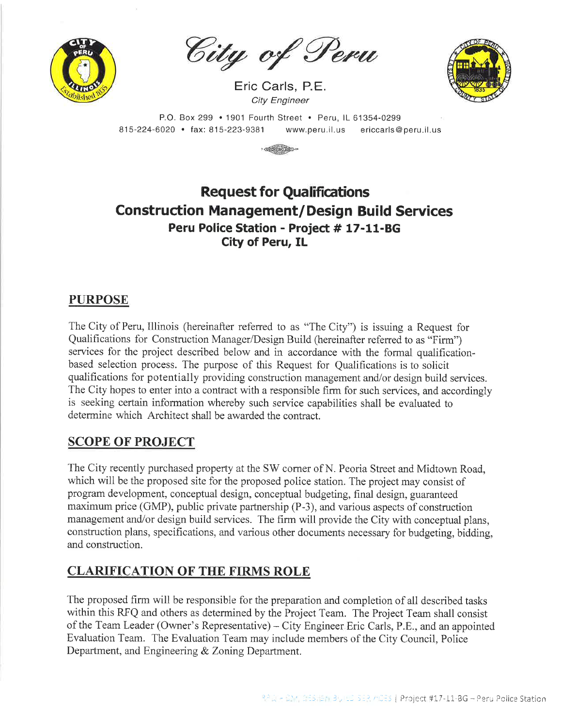

City of Peru

Eric Carls, P.E. **City Engineer** 



P.O. Box 299 . 1901 Fourth Street . Peru, IL 61354-0299 815-224-6020 · fax: 815-223-9381 ericcarls@peru.il.us www.peru.il.us



# **Request for Qualifications Construction Management/Design Build Services** Peru Police Station - Project # 17-11-BG **City of Peru, IL**

# **PURPOSE**

The City of Peru, Illinois (hereinafter referred to as "The City") is issuing a Request for Qualifications for Construction Manager/Design Build (hereinafter referred to as "Firm") services for the project described below and in accordance with the formal qualificationbased selection process. The purpose of this Request for Qualifications is to solicit qualifications for potentially providing construction management and/or design build services. The City hopes to enter into a contract with a responsible firm for such services, and accordingly is seeking certain information whereby such service capabilities shall be evaluated to determine which Architect shall be awarded the contract.

## **SCOPE OF PROJECT**

The City recently purchased property at the SW corner of N. Peoria Street and Midtown Road, which will be the proposed site for the proposed police station. The project may consist of program development, conceptual design, conceptual budgeting, final design, guaranteed maximum price (GMP), public private partnership (P-3), and various aspects of construction management and/or design build services. The firm will provide the City with conceptual plans, construction plans, specifications, and various other documents necessary for budgeting, bidding, and construction.

# **CLARIFICATION OF THE FIRMS ROLE**

The proposed firm will be responsible for the preparation and completion of all described tasks within this RFQ and others as determined by the Project Team. The Project Team shall consist of the Team Leader (Owner's Representative) – City Engineer Eric Carls, P.E., and an appointed Evaluation Team. The Evaluation Team may include members of the City Council, Police Department, and Engineering & Zoning Department.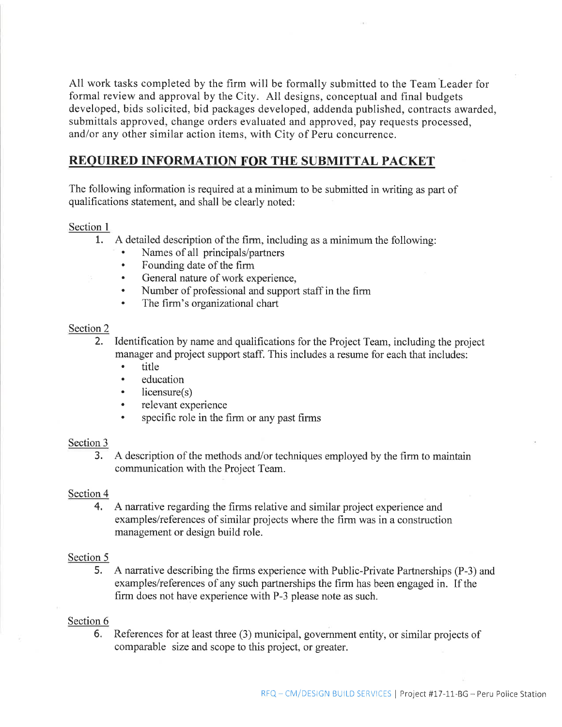All work tasks completed by the firm will be formally submitted to the Team Leader for formal review and approval by the City. All designs, conceptual and final budgets developed, bids solicited, bid packages developed, addenda published, contracts awarded, submittals approved, change orders evaluated and approved, pay requests processed, and/or any other similar action items, with City of Peru concurrence.

### **REQUIRED INFORMATION FOR THE SUBMITTAL PACKET**

The following information is required at a minimum to be submitted in writing as part of qualifications statement, and shall be clearly noted:

#### Section 1

- $1.$ A detailed description of the firm, including as a minimum the following:
	- Names of all principals/partners
	- Founding date of the firm
	- General nature of work experience,
	- Number of professional and support staff in the firm
	- The firm's organizational chart

#### Section 2

 $2.$ Identification by name and qualifications for the Project Team, including the project manager and project support staff. This includes a resume for each that includes:

- title  $\bullet$
- education  $\bullet$
- $licensure(s)$
- relevant experience
- specific role in the firm or any past firms

#### Section 3

 $3.$ A description of the methods and/or techniques employed by the firm to maintain communication with the Project Team.

### Section 4

4. A narrative regarding the firms relative and similar project experience and examples/references of similar projects where the firm was in a construction management or design build role.

### Section 5

5. A narrative describing the firms experience with Public-Private Partnerships (P-3) and examples/references of any such partnerships the firm has been engaged in. If the firm does not have experience with P-3 please note as such.

#### Section 6

6. References for at least three (3) municipal, government entity, or similar projects of comparable size and scope to this project, or greater.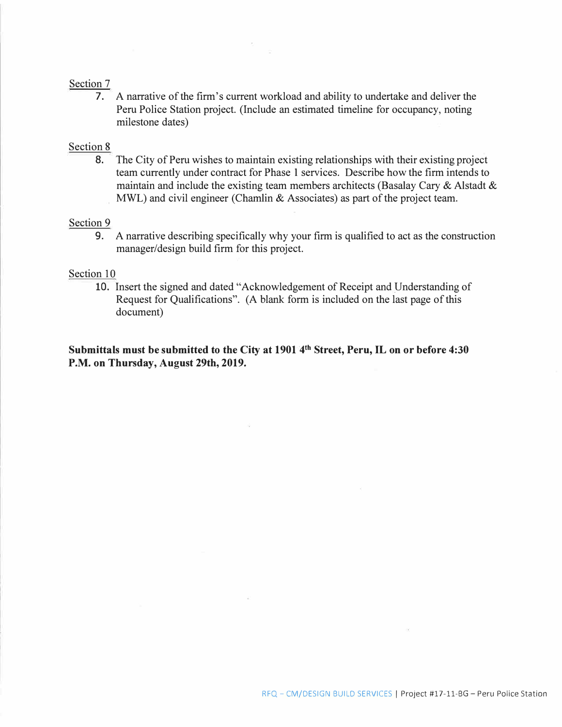#### Section 7

7. A narrative of the firm's current workload and ability to undertake and deliver the Peru Police Station project. (Include an estimated timeline for occupancy, noting milestone dates)

#### Section 8

8. The City of Peru wishes to maintain existing relationships with their existing project team currently under contract for Phase 1 services. Describe how the firm intends to maintain and include the existing team members architects (Basalay Cary & Alstadt & MWL) and civil engineer (Chamlin & Associates) as part of the project team.

#### Section 9

9. A narrative describing specifically why your firm is qualified to act as the construction manager/design build firm for this project.

#### Section 10

10. Insert the signed and dated "Acknowledgement of Receipt and Understanding of Request for Qualifications". (A blank form is included on the last page of this document)

**Submittals must be submitted to the City at 1901 4 th Street, Peru, IL on or before 4:30 P.M. on Thursday, August 29th, 2019.**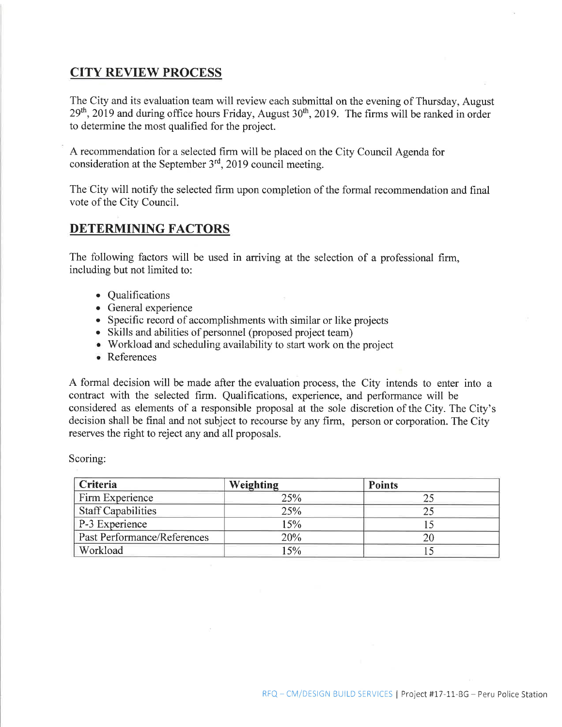### **CITY REVIEW PROCESS**

The City and its evaluation team will review each submittal on the evening of Thursday, August  $29<sup>th</sup>$ , 2019 and during office hours Friday, August 30<sup>th</sup>, 2019. The firms will be ranked in order to determine the most qualified for the project.

A recommendation for a selected firm will be placed on the City Council Agenda for consideration at the September 3<sup>rd</sup>, 2019 council meeting.

The City will notify the selected firm upon completion of the formal recommendation and final vote of the City Council.

## **DETERMINING FACTORS**

The following factors will be used in arriving at the selection of a professional firm, including but not limited to:

- Qualifications
- General experience
- Specific record of accomplishments with similar or like projects
- Skills and abilities of personnel (proposed project team)
- Workload and scheduling availability to start work on the project
- References

A formal decision will be made after the evaluation process, the City intends to enter into a contract with the selected firm. Qualifications, experience, and performance will be considered as elements of a responsible proposal at the sole discretion of the City. The City's decision shall be final and not subject to recourse by any firm, person or corporation. The City reserves the right to reject any and all proposals.

Scoring:

| Criteria                           | Weighting | <b>Points</b> |
|------------------------------------|-----------|---------------|
| Firm Experience                    | 25%       |               |
| <b>Staff Capabilities</b>          | 25%       |               |
| P-3 Experience                     | 15%       |               |
| <b>Past Performance/References</b> | 20%       | 20            |
| Workload                           | 15%       |               |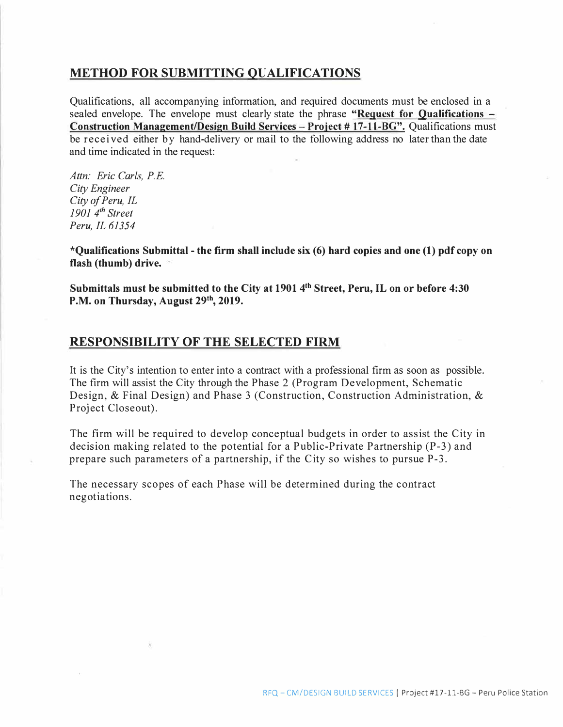### **METHOD FOR SUBMITTING QUALIFICATIONS**

Qualifications, all accompanying information, and required documents must be enclosed in a sealed envelope. The envelope must clearly state the phrase "Request for **Qualifications** – **Con tructioo Management/Design Build Services** - **Proiect** # **17-11-BG".** Qualifications must be received either by hand-delivery or mail to the following address no later than the date and time indicated in the request:

*Attn: Eric Carls, P.E. City Engineer City of Peru, IL 1901 4 th Street Peru, IL 61354* 

**\*Qualifications Submittal** - **the firm shall include six (6) hard copies and one (1) pdf copy on flash (thumb) drive.**

**Submittals must be submitted to the City at 1901 4 th Street, Peru, IL on or before 4:30 P.M. on Thursday, August 29th , 2019.**

### **RESPONSIBILITY OF THE SELECTED FIRM**

It is the City's intention to enter into a contract with a professional firm as soon as possible. The firm will assist the City through the Phase 2 (Program Development, Schematic Design, & Final Design) and Phase 3 (Construction, Construction Administration, & Project Closeout).

The firm will be required to develop conceptual budgets in order to assist the City in decision making related to the potential for a Public-Private Partnership (P-3) and prepare such parameters of a partnership, if the City so wishes to pursue P-3.

The necessary scopes of each Phase will be determined during the contract negotiations.